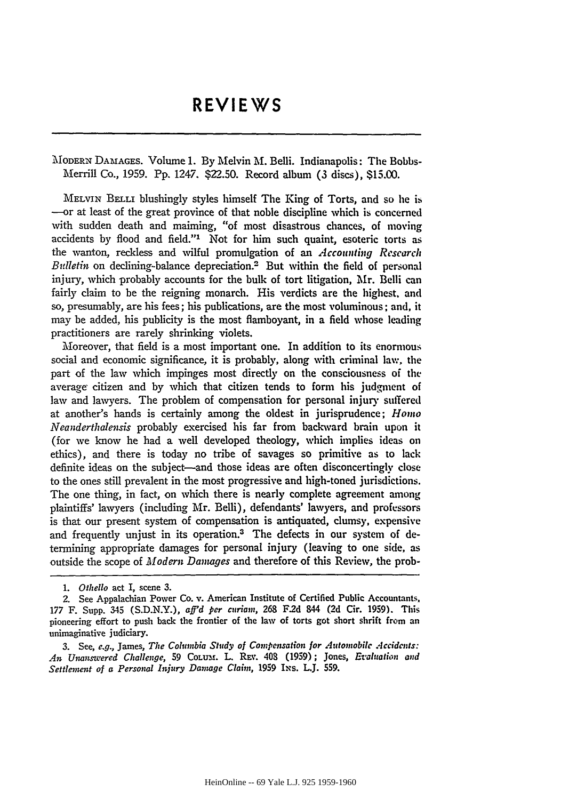## **REVIEWS REVIEWS**

## MODERN DAMAGES. Volume 1. By Melvin M. Belli. Indianapolis: The Bobbs-Merrill Co., 1959. Pp. 1247. \$22.50. Record album (3 discs), \$15.00. Merrill Co., 1959. Pp. 1247. \$22.50. Record album (3 discs), \$15.00.

MELVIN BELLI blushingly styles himself The King of Torts, and so he is -or at least of the great province of that noble discipline which is concerned with sudden death and maiming, "of most disastrous chances, of moving with sudden death and maiming, "of most disastrous chances, of moving accidents **by** flood and field."' Not for him such quaint, esoteric torts as accidents by flood and field."l Not for him such quaint, esoteric torts as the wanton, reckless and wilful promulgation of an Accounting Research *Bulletin* on declining-balance depreciation.2 But within the field of personal *Bulletin* on declining-balance depreciation.<sup>2</sup> But within the field of personal injury, which probably accounts for the bulk of tort litigation, Mr. Belli can injury, which probably accounts for the bulk of tort litigation, Mr. Belli can fairly claim to be the reigning monarch. His verdicts are the highest. and fairly claim to be the reigning monarch. His verdicts are the highest. and so, presumably, are his fees; his publications, are the most voluminous; and, it so, presumably, are his fees; his publications, are the most voluminous; and, it may be added, his publicity is the most flamboyant, in a field whose leading may be added, his publicity is the most flamboyant, in a field whose leading practitioners are rarely shrinking violets. practitioners are rarely shrinking violets.

 $M$ oreover, that field is a most important one. In addition to its enormous social and economic significance, it is probably, along with criminal law, the social and economic significance, it is probably, along with criminal law, the part of the law which impinges most directly on the consciousness of the average citizen and by which that citizen tends to form his judgment of law and lawyers. The problem of compensation for personal injury suffered at another's hands is certainly among the oldest in jurisprudence; *Honto* at another's hands is certainly among the oldest in jurisprudence; *Homo Neanderthalensis* probably exercised his far from backward brain upon it (for we know he had a well developed theology, which implies ideas on (for we know he had a well developed theology, which implies ideas on<br>ethics), and there is today no tribe of savages so primitive as to lack definite ideas on the subject-and those ideas are often disconcertingly close definite ideas on the subject-and those ideas are often disconcertingly close to the ones still prevalent in the most progressive and high-toned jurisdictions. to the ones still prevalent in the most progressive and high-toned jurisdictions. The one thing, in fact, on which there is nearly complete agreement among The one thing, in fact, on which there is nearly complete agreement among plaintiffs' lawyers (including Mr. Belli), defendants' lawyers, and professors plaintiffs'lawyers (including Mr. Belli), defendants' lawyers, and professors is that our present system of compensation is antiquated, clumsy, expensive is that our present system of compensation is antiquated, clumsy, expensive and frequently unjust in its operation.3 The defects in our system of de-and frequently unjust in its operation.3 The defects in our system of determining appropriate damages for personal injury (leaving to one side, as termining appropriate damages for personal injury (leaving to one side, as<br>outside the scope of *Modern Damages* and therefore of this Review, the prob-

3. See, e.g., James, The Columbia Study of Compensation for Automobile Accidents: An Unanswered Challenge, 59 Covum. L. Rev. 408 (1959); Jones, Evaluation and<br>Settlement of a Personal Injury Damage Claim, 1959 Ins. L.J. 559. *Settlement of a Personal Injury* Damage Claim, **1959** INs. L.J. **559.**

*<sup>1.</sup> Othello* act I, scene **3.**

<sup>2.</sup> See Appalachian Power Co. v. American Institute of Certified Public Accountants, 1. *Othello* act I, scene 3.<br>2. See Appalachian Power Co. v. American Institute of Certified Public Accountants,<br>177 F. Supp. 345 (S.D.N.Y.), af<sup>7</sup>d per curiam, 268 F.2d 844 (2d Cir. 1959). This pioneering effort to push back the frontier of the law of torts got short shrift from an pioneering effort to push back the frontier of the law of torts got short shrift from unimaginative judiciary. unimaginative judiciary.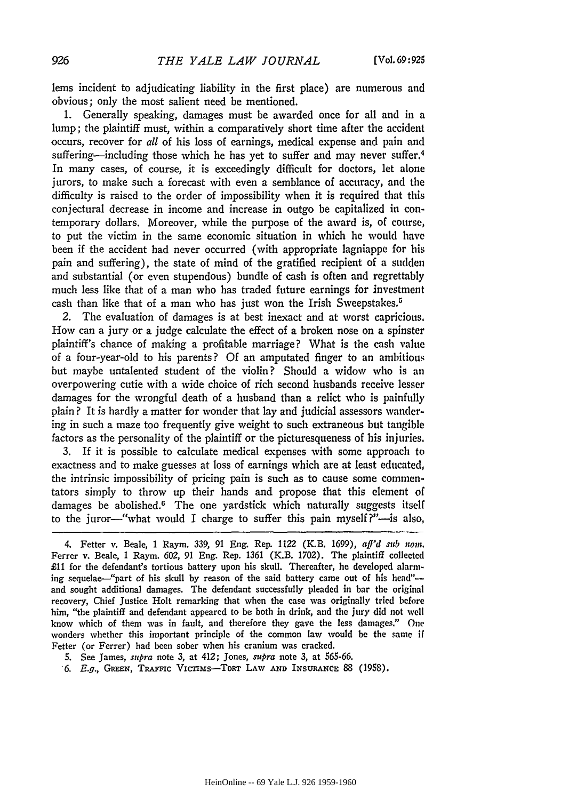lems incident to adjudicating liability in the first place) are numerous and lems incident to adjudicating liability in the first place) are numerous and obvious; only the most salient need be mentioned. obvious; only the most salient need be mentioned.

1. Generally speaking, damages must be awarded once for all and in a 1. Generally speaking, damages must be awarded once for all and in a lump; the plaintiff must, within a comparatively short time after the accident lump; the plaintiff must, within a comparatively short time after the accident occurs, recover for *all* of his loss of earnings, medical expense and pain and occurs, recover for *all* of his loss of earnings, medical expense and pain and suffering—including those which he has yet to suffer and may never suffer.<sup>4</sup> In many cases, of course, it is exceedingly difficult for doctors, let alone In many cases, of course, it is exceedingly difficult for doctors, let alone jurors, to make such a forecast with even a semblance of accuracy, and the jurors, to make such a forecast with even a semblance of accuracy, and the difficulty is raised to the order of impossibility when it is required that this difficulty is raised to the order of impossibility when it is required that this conjectural decrease in income and increase in outgo be capitalized in con-conjectural decrease in income and increase in outgo be capitalized in contemporary dollars. Moreover, while the purpose of the award is, of course, temporary dollars. Moreover, while the purpose of the award is, of course, to put the victim in the same economic situation in which he would have to put the victim in the same economic situation in which he would have<br>been if the accident had never occurred (with appropriate lagniappe for his pain and suffering), the state of mind of the gratified recipient of a sudden pain and suffering), the state of mind of the gratified recipient of a sudden and substantial (or even stupendous) bundle of cash is often and regrettably and substantial (or even stupendous) bundle of cash is often and regrettably much less like that of a man who has traded future earnings for investment much less like that of a man who has traded future earnings for investment cash than like that of a man who has just won the Irish Sweepstakes. $^{\text{\tiny{\textsf{5}}}}$ 

2. The evaluation of damages is at best inexact and at worst capricious. 2. The evaluation of damages is at best inexact and at worst capricious. How can a jury or a judge calculate the effect of a broken nose on a spinster How can a jury or a judge calculate the effect of a broken nose on a spinster plaintiff's chance of making a profitable marriage? What is the cash value plaintiff's chance of making a profitable marriage? What is the cash value of a four-year-old to his parents? Of an amputated finger to an ambitious of a four-year-old to his parents? Of an amputated finger to an ambitious but maybe untalented student of the violin? Should a widow who is an but maybe untalented student of the violin? Should a widow who is an overpowering cutie with a wide choice of rich second husbands receive lesser overpowering cutie with a wide choice of rich second husbands receive lesser damages for the wrongful death of a husband than a relict who is painfully damages for the wrongful death of a husband than a relict who is painfully plain? It is hardly a matter for wonder that lay and judicial assessors wander-plain? It is hardly a matter for wonder that lay and judicial assessors wandering in such a maze too frequently give weight to such extraneous but tangible ing in such a maze too frequently give weight to such extraneous but tangible factors as the personality of the plaintiff or the picturesqueness of his injuries.

3. If it is possible to calculate medical expenses with some approach to factors as the personality of the plaintiff or the picturesqueness of his injuries.<br>3. If it is possible to calculate medical expenses with some approach to<br>exactness and to make guesses at loss of earnings which are at le the intrinsic impossibility of pricing pain is such as to cause some commen-the intrinsic impossibility of pricing pain is such as to cause some commentators simply to throw up their hands and propose that this element of tators simply to throw up their hands and propose that this element of damages be abolished.<sup>6</sup> The one yardstick which naturally suggests itself to the juror-"what would I charge to suffer this pain myself?"-is also,

4. Fetter v. Beale, 1 Raym. 339, 91 Eng. Rep. 1122 (K.B. 1699), *aff'd sub non.* 4. Fetter v. Beale, 1 Raym. 339, 91 Eng. Rep. 1122 (K.B. 1699), *aff'd sub* 110111. Ferrer v. Beale, 1 Raym. 602, **91** Eng. Rep. 1361 (K.B. 1702). The plaintiff collected Ferrer v. Beale, 1 Raym. 602, 91 Eng. Rep. 1361 (K.B. 1702). The plaintiff collected<br>£11 for the defendant's tortious battery upon his skull. Thereafter, he developed alarming sequelae—"part of his skull by reason of the said battery came out of his head" and sought additional damages. The defendant successfully pleaded in bar the original and sought additional damages. The defendant successfully pleaded in bar the original recovery, Chief Justice Holt remarking that when the case was originally tried before him, "the plaintiff and defendant appeared to be both in drink, and the jury did not well recovery, Chief Justice Holt remarking that when the case was originally tried before<br>him, "the plaintiff and defendant appeared to be both in drink, and the jury did not well<br>know which of them was in fault, and therefore wonders whether this important principle of the common law would be the same **if** wonders whether this important principle of the common law would be the same if Fetter (or Ferrer) had been sober when his cranium was cracked.

Fetter (or Ferrer) had been sober when his cranium was cracked.<br>5. See James, *supra* note 3, at 412; Jones, *supra* note 3, at 565-66.

6. E.g., GREEN, TRAFFIC VICTIMS-TORT LAW AND INSURANCE 88 (1958).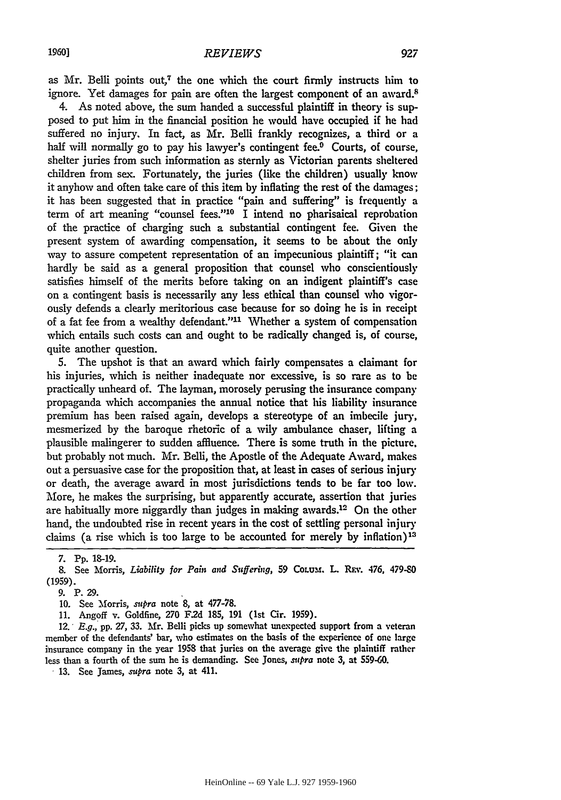as Mr. Belli points out, $7$  the one which the court firmly instructs him to as Mr. Belli points out,<sup>7</sup> the one which the court firmly instructs him to ignore. Yet damages for pain are often the largest component of an award.<sup>8</sup>

4. As noted above, the sum handed a successful plaintiff in theory is sup-4. As noted above, the sum handed a successful plaintiff in theory is supposed to put him in the financial position he would have occupied if he had posed to put him in the financial position he would have occupied if he had suffered no injury. In fact, as Mr. Belli frankly recognizes, a third or a suffered no injury. In fact, as Mr. Belli frankly recognizes, a third or a half will normally go to pay his lawyer's contingent fee.<sup>0</sup> Courts, of course, half will normally go to pay his lawyer's contingent fee.<sup>9</sup> Courts, of course,<br>shelter juries from such information as sternly as Vict<mark>orian</mark> parents sheltered children from sex. Fortunately, the juries (like the children) usually know children from sex. Fortunately, the juries (like the children) usually know it anyhow and often take care of this item by inflating the rest of the damages; it anyhow and often take care of this item by inflating the rest of the damages; it has been suggested that in practice "pain and suffering" is frequently a it has been suggested that in practice "pain and suffering" is frequently a term of art meaning "counsel fees."<sup>10</sup> I intend no pharisaical reprobation of the practice of charging such a substantial contingent fee. Given the of the practice of charging such a substantial contingent fee. Given the present system of awarding compensation, it seems to be about the only present system of awarding compensation, it seems to be about the only way to assure competent representation of an impecunious plaintiff; "it can hardly be said as a general proposition that counsel who conscientiously hardly be said as a general proposition that counsel who conscientiously satisfies himself of the merits before taking on an indigent plaintiff's case satisfies himself of the merits before taking on an indigent plaintiff's case<br>on a contingent basis is necessarily any less ethical than counsel who vigorously defends a clearly meritorious case because for so doing he is in receipt of a fat fee from a wealthy defendant."<sup>11</sup> Whether a system of compensation which entails such costs can and ought to be radically changed is, of course, quite another question. quite another question.

5. The upshot is that an award which fairly compensates a claimant for 5. The upshot is that an award which fairly compensates a claimant for his injuries, which is neither inadequate nor excessive, is so rare as to be practically unheard of. The layman, morosely perusing the insurance company practically unheard of. The layman, morosely perusing tlle insurance company propaganda which accompanies the annual notice that his liability insurance propaganda which accompanies the annual notice that Ius liability insurance premium has been raised again, develops a stereotype of an imbecile jury, premium has been raised again, develops a stereotype of an imbecile jury, mesmerized by the baroque rhetoric of a wily ambulance chaser, lifting a mesmerized by the baroque rhetoric of a wily ambulance chaser, lifting a<br>plausible malingerer to sudden affluence. There is some truth in the picture, but probably not much. Mr. Belli, the Apostle of the Adequate Award, makes but probably notmuch. Mr. Belli, the Apostle of the Adequate Award, makes out a persuasive case for the proposition that, at least in cases of serious injury out a persuasive case for the proposition that, at least in cases of serious injury or death, the average award in most jurisdictions tends to be far too low. or death, the average award in most jurisdictions tends to be far too low. More, he makes the surprising, but apparently accurate, assertion that juries More, he makes the surprising, but apparently accurate, assertion that juries are habitually more niggardly than judges in making awards.<sup>12</sup> On the other hand, the undoubted rise in recent years in the cost of settling personal injury hand, the undoubted rise in recent years in the cost of settling personal injury claims (a rise which is too large to be accounted for merely by inflation)<sup>13</sup>

7. Pp. 18-19. 7. Pp. 18-19.

8. See Morris, *Liability for Pain and Suffering*, 59 Coluxi. L. Rev. 476, 479-80 (1959). (1959).

10. See Morris, *supra* note 8, at 477-78.

10. See Morris, *supra* note 8, at 477-78.<br>11. Angoff v. Goldfine, 270 F.2d 185, 191 (1st Cir. 1959).

12. E.g., pp. 27, 33. Mr. Belli picks up somewhat unexpected support from a veteran member of the defendants' bar, who estimates on the basis of the experience of one large member of the defendants' bar, who estimates on the basis of the experience of one large<br>insurance company in the year 1958 that juries on the average give the plaintiff rather less than a fourth of the sum he is demanding. See Jones, supra note 3, at 559-60.<br>13. See James, supra note 3, at 411.

. 13. See James, *supra* note 3, at 411.

<sup>9.</sup> P. 29. 9. P.29. .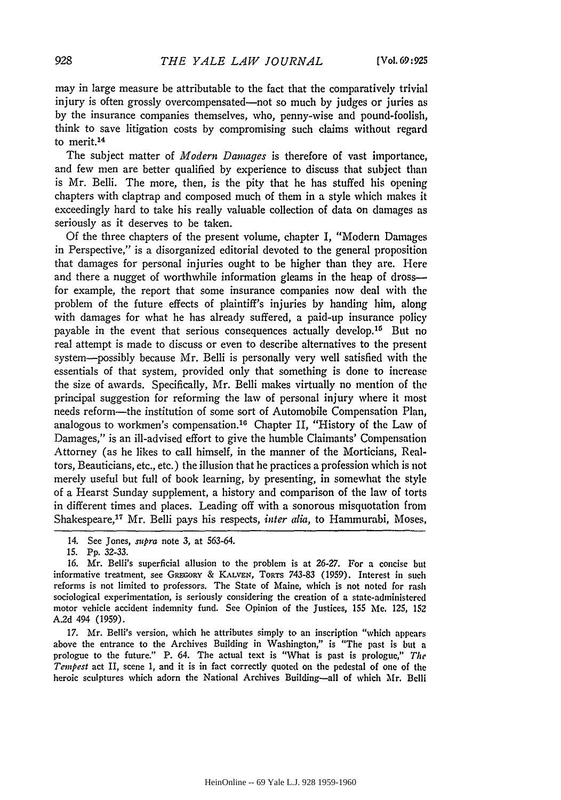may in large measure be attributable to the fact that the comparatively trivial may in large measure be attributable to the fact that the comparatively trivial injury is often grossly overcompensated-not so much **by** judges or juries as injury is often grossly overcompensated-not so much by judges or juries as **by** the insurance companies themselves, who, penny-wise and pound-foolish, by the insurance companies themselves, who, penny-wise and pound-foolish, think to save litigation costs **by** compromising such claims without regard think to save litigation costs by compromising such claims without regard to merit.<sup>14</sup> to merit,14

The subject matter of *Modern Damages* is therefore of vast importance, The subject matter of *Madem Da'mages* is therefore of vast importance, and few men are better qualified **by** experience to discuss that subject than and few men are better qualified by experience to discuss that subject than is Mr. Belli. The more, then, is the pity that he has stuffed his opening is Mr. Belli. The more, then, is the pity that he has stuffed his opening chapters with claptrap and composed much of them in a style which makes it chapters with claptrap and composed much of them in a style which makes it exceedingly hard to take his really valuable collection of data on damages as seriously as it deserves to be taken. seriously as it deserves to be taken.

**Of** the three chapters of the present volume, chapter I, "Modern Damages Of the three chapters of the present volume, chapter I, "Modern Damages in Perspective," is a disorganized editorial devoted to the general proposition in Perspective," is a disorganized editorial devoted to the general proposition that damages for personal injuries ought to be higher than they are. Here that damages for personal injuries ought to be higher than they are. Here and there a nugget of worthwhile information gleams in the heap of drossfor example, the report that some insurance companies now deal with the for example, the report that some insurance companies now deal with the problem of the future effects of plaintiff's injuries by handing him, along problem of the future effects of plaintiff's injuries by handing him, along with damages for what he has already suffered, a paid-up insurance policy with damages for what he has already suffered, a paid-up insurance policy payable in the event that serious consequences actually develop.<sup>16</sup> But no real attempt is made to discuss or even to describe alternatives to the present system-possibly because Mr. Belli is personally very well satisfied with the system-possibly because Mr. Belli is personally very well satisfied with the essentials of that system, provided only that something is done to increase essentials of that system, provided only that something is done to increase the size of awards. Specifically, Mr. Belli makes virtually no mention of the the size of awards. Specifically, Mr. Belli makes virtually no mention of the principal suggestion for reforming the law of personal injury where it most principal suggestion for reforming the law of personal injury where it needs reform-the institution of some sort of Automobile Compensation Plan, analogous to workmen's compensation. 16 Chapter II, "History of the Law of needs reform—the institution of some sort of Automobile Compensation Plan,<br>analogous to workmen's compensation.<sup>16</sup> Chapter II, "History of the Law of<br>Damages," is an ill-advised effort to give the humble Claimants' Compen Attorney (as he likes to call himself, in the manner of the Morticians, Real-Attorney (as he likes to call himself, in the manner of the Morticians, Realtors, Beauticians, etc., etc.) the illusion that he practices a profession which is not tors, Beauticians, etc., etc.) the illusion that he practices a profession which is not merely useful but full of book learning, by presenting, in somewhat the style merely useful but full of book learning, by presenting, in somewhat the style<br>of a Hearst Sunday supplement, a history and comparison of the law of torts in different times and places. Leading off with a sonorous misquotation from in different times and places. Leading off with a sonorous misquotation from Shakespeare,<sup>17</sup> Mr. Belli pays his respects, *inter alia*, to Hammurabi, Moses,

17. Mr. Belli's version, which he attributes simply to an inscription "which appears above the entrance to the Archives Building in Washington," is "The past is but a prologue to the future." P. 64. The actual text is "What is past is prologue," *The Tempest* act II, scene 1, and it is in fact correctly quoted on the pedestal of one of the *Tempest* act II, scene 1, and it is in fact correctly quoted on the pedestal of one of thc heroic sculptures which adorn the National Archives Building-all of which Mr. Belli 17. Mr. Belli's version, which he attributes simply to an inscription "which appears<br>above the entrance to the Archives Building in Washington," is "The past is but a<br>prologue to the future." P. 64. The actual text is "Wha

<sup>14.</sup> See Jones, *supra* note 3, at 563-64. 14. See Jones, *supra* note 3, at 563-64.

**<sup>15.</sup>** Pp. 32-33. 15. Pp. 32-33.

<sup>16.</sup> Mr. Belli's superficial allusion to the problem is at 26-27. For a concise but 16. Mr. Belli's superficial allusion to the problem is at 26-27. For a concise but informative treatment, see **GRECoRY** & **KALVEN,** ToRTs 743-83 (1959). Interest in such informative treatment, see GREGORY & KALVEN, TORTS 743-83 (1959). Interest in such reforms is not limited to professors. The State of Maine, which is not noted for rash reforms is not limited to professors. The State of Maine, which is not noted for rash sociological experimentation, is seriously considering the creation of a state-administered sociological experimentation, is seriously considering the creation of a state-administered motor vehicle accident indemnity fund. See Opinion of the Justices, **155** Me. 125, **152** motor vehicle accident indemnity fund. See Opinion of the Justices, 155 Me. 125, 152 A.2d 494 (1959). A.2d 494 (1959).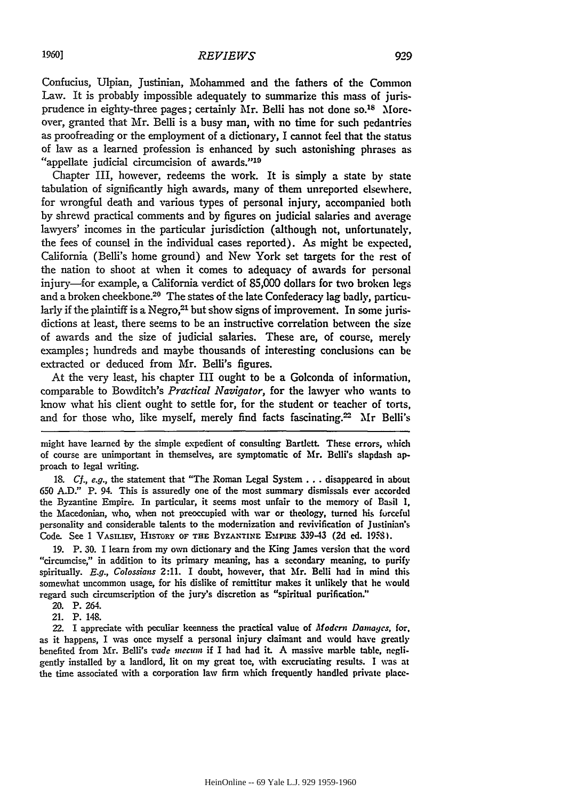Confucius, Ulpian, Justinian, Mohammed and the fathers of the Common Confucius, Ulpian, Justinian, Mohammed and the fathers of the Common<br>Law. It is probably impossible adequately to summarize this mass of jurisprudence in eighty-three pages; certainly Mr. Belli has not done so.<sup>18</sup> Moreover, granted that Mr. Belli is a busy man, with no time for such pedantries over, granted that Mr. Belli is a busy man, with no time for such pedantries as proofreading or the employment of a dictionary, I cannot feel that the status as proofreading or the employment of a dictionary, I cannot feel that the status of law as a learned profession is enhanced by such astonishing phrases as of law as a learned profession is enhanced by such astonishing phrases as "appellate judicial circumcision of awards."<sup>19</sup>

Chapter III, however, redeems the work. It is simply a state **by** state Chapter III, however, redeems the work. It is simply a state by state tabulation of significantly high awards, many of them unreported elsewhere. for wrongful death and various types of personal injury, accompanied both **by** shrewd practical comments and by figures on judicial salaries and average by shrewd practical comments and by figures on judicial salaries and average lawyers' incomes in the particular jurisdiction (although not, unfortunately, lawyers' incomes in the particular jurisdiction (although not, unfortunately, the fees of counsel in the individual cases reported). **As** might be expected, the fees of counsel in the individual cases reported). As might be expected, California (Belli's home ground) and New York set targets for the rest of California (Belli's home ground) and New York set targets for the rest of the nation to shoot at when it comes to adequacy of awards for personal the nation to shoot at when it comes to adequacy of awards for personal injury-for example, a California verdict of 85,000 dollars for two broken legs and a broken cheekbone.<sup>20</sup> The states of the late Confederacy lag badly, particularly if the plaintiff is a Negro,<sup>21</sup> but show signs of improvement. In some jurisdictions at least, there seems to be an instructive correlation between the size dictions at least, there seems to be an instructive correlation between the size of awards and the size of judicial salaries. These are, of course, merely examples; hundreds and maybe thousands of interesting conclusions can be of awards and the size of judicial salaries. These are, of course, merelyexamples; hundreds and maybe thousands of interesting conclusions can be extracted or deduced from Mr. Belli's figures.

At the very least, his chapter III ought to be a Golconda of information, At the very least, his chapter III ought to be a Golconda of information, comparable to Bowditch's *Prartical Navigator,* for the lawyer who wants to comparable to Bowditch's *Practical Navigator,* for the lawyer who wants to know what his client ought to settle for, for the student or teacher of torts, and for those who, like myself, merely find facts fascinating.<sup>22</sup> Mr Belli's

might have learned by the simple expedient of consulting Bartlett. These errors, which of course are unimportant in themselves, are symptomatic of Mr. Belli's slapdash approach to legal writing. proach to legal writing.

18. *Cf., e.g.*, the statement that "The Roman Legal System . . . disappeared in about **<sup>650</sup>A.D."** P. 94. This is assuredly one of the most summary dismissals ever accorded 650 A.D." P. 94. This is assuredly one of the most summary dismissals c\"cr accorded the Byzantine Empire. In particular, it seems most unfair to the memory of Basil I, the Byzantine Empire. In particular, it seems most unfair to the memory of Basil I,<br>the Macedonian, who, when not preoccupied with war or theology, turned his forceful personality and considerable talents to the modernization and revivification of Justinian's personality and considerable talents to the modcrnization and rcvivification of Justinian's Code. See **1 VASILIEV, HIsTORY OF THE** BYZANTlzE **EmPias** 339-43 (2d ed. **1958).** Code. See 1 VASILIEV, HISTORY OF THE BYZANTINE EMPIRE 339-43 (2d cd. 19581.

**19.** P. **30.** I learn from my own dictionary and the King James version that the word 19. P.30. I learn from my own dictionary and the King James version that thc word "circumcise," in addition to its primary meaning, has a secondary meaning, to purify "circumcise," in addition to its primary meaning, has a secondary meaning, to purify<br>spiritually. *E.g., Colossians* 2:11. I doubt, however, that Mr. Belli had in mind this somewhat uncommon usage, for his dislike of remittitur makes it unlikely that he would regard such circumscription of the jury's discretion as "spiritual purification." somewhat uncommon usage, for his dislike of remittitur makes it unlikely that he would regard such circumscription of the jury's discretion as "spiritual purification."<br>20. P. 264.

- 20. P. 264.
- 21. P. 148. 21. P. 148.

22. I appreciate with peculiar keenness the practical value of *Modern* Damages, for, 22. I appreciate with peculiar keenness the practical value of *Modcn! Damaycs,* for. as it happens, I was once myself a personal injury claimant and would have greatly benefited from Mr. Belli's *vade mecum* if I had had it. A massive marble table, negligently installed by a landlord, lit on my great toe, with excruciating results. I was at the time associated with a corporation law firm which frequently handled private place-the time associated with a corporation law firm which frequently handled privatc place-